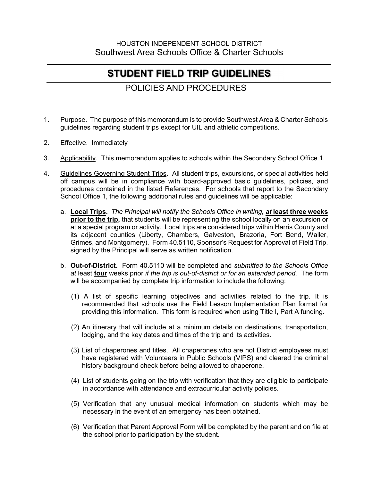## **STUDENT FIELD TRIP GUIDELINES**

## POLICIES AND PROCEDURES

- 1. Purpose. The purpose of this memorandum is to provide Southwest Area & Charter Schools guidelines regarding student trips except for UIL and athletic competitions.
- 2. Effective. Immediately
- 3. Applicability. This memorandum applies to schools within the Secondary School Office 1.
- 4. Guidelines Governing Student Trips. All student trips, excursions, or special activities held off campus will be in compliance with board-approved basic guidelines, policies, and procedures contained in the listed References. For schools that report to the Secondary School Office 1, the following additional rules and guidelines will be applicable:
	- a. **Local Trips.** *The Principal will notify the Schools Office in writing, at* **least three weeks prior to the trip,** that students will be representing the school locally on an excursion or at a special program or activity. Local trips are considered trips within Harris County and its adjacent counties (Liberty, Chambers, Galveston, Brazoria, Fort Bend, Waller, Grimes, and Montgomery). Form 40.5110, Sponsor's Request for Approval of Field Trip, signed by the Principal will serve as written notification.
	- b. **Out-of-District.** Form 40.5110 will be completed and *submitted to the Schools Office at* least **four** weeks prior *if the trip is out-of-district or for an extended period.* The form will be accompanied by complete trip information to include the following:
		- (1) A list of specific learning objectives and activities related to the trip. It is recommended that schools use the Field Lesson Implementation Plan format for providing this information. This form is required when using Title I, Part A funding.
		- (2) An itinerary that will include at a minimum details on destinations, transportation, lodging, and the key dates and times of the trip and its activities.
		- (3) List of chaperones and titles. All chaperones who are not District employees must have registered with Volunteers in Public Schools (VIPS) and cleared the criminal history background check before being allowed to chaperone.
		- (4) List of students going on the trip with verification that they are eligible to participate in accordance with attendance and extracurricular activity policies.
		- (5) Verification that any unusual medical information on students which may be necessary in the event of an emergency has been obtained.
		- (6) Verification that Parent Approval Form will be completed by the parent and on file at the school prior to participation by the student.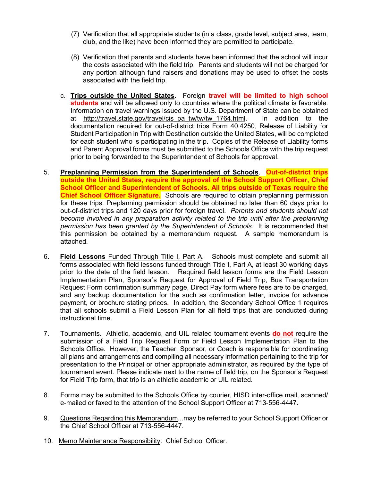- (7) Verification that all appropriate students (in a class, grade level, subject area, team, club, and the like) have been informed they are permitted to participate.
- (8) Verification that parents and students have been informed that the school will incur the costs associated with the field trip. Parents and students will not be charged for any portion although fund raisers and donations may be used to offset the costs associated with the field trip.
- c. **Trips outside the United States.** Foreign **travel will be limited to high school students** and will be allowed only to countries where the political climate is favorable. Information on travel warnings issued by the U.S. Department of State can be obtained at http://travel.state.gov/travel/cis\_pa\_tw/tw/tw\_1764.html. In addition to the documentation required for out-of-district trips Form 40.4250, Release of Liability for Student Participation in Trip with Destination outside the United States, will be completed for each student who is participating in the trip. Copies of the Release of Liability forms and Parent Approval forms must be submitted to the Schools Office with the trip request prior to being forwarded to the Superintendent of Schools for approval.
- 5. **Preplanning Permission from the Superintendent of Schools**. **Out-of-district trips outside the United States, require the approval of the School Support Officer, Chief School Officer and Superintendent of Schools. All trips outside of Texas require the Chief School Officer Signature.** Schools are required to obtain preplanning permission for these trips. Preplanning permission should be obtained no later than 60 days prior to out-of-district trips and 120 days prior for foreign travel. *Parents and students should not become involved in any preparation activity related to the trip until after the preplanning permission has been granted by the Superintendent of Schools.* It is recommended that this permission be obtained by a memorandum request. A sample memorandum is attached.
- 6. **Field Lessons** Funded Through Title I, Part A. Schools must complete and submit all forms associated with field lessons funded through Title I, Part A, at least 30 working days prior to the date of the field lesson. Required field lesson forms are the Field Lesson Implementation Plan, Sponsor's Request for Approval of Field Trip, Bus Transportation Request Form confirmation summary page, Direct Pay form where fees are to be charged, and any backup documentation for the such as confirmation letter, invoice for advance payment, or brochure stating prices. In addition, the Secondary School Office 1 requires that all schools submit a Field Lesson Plan for all field trips that are conducted during instructional time.
- 7. Tournaments. Athletic, academic, and UIL related tournament events **do not** require the submission of a Field Trip Request Form or Field Lesson Implementation Plan to the Schools Office. However, the Teacher, Sponsor, or Coach is responsible for coordinating all plans and arrangements and compiling all necessary information pertaining to the trip for presentation to the Principal or other appropriate administrator, as required by the type of tournament event. Please indicate next to the name of field trip, on the Sponsor's Request for Field Trip form, that trip is an athletic academic or UIL related.
- 8. Forms may be submitted to the Schools Office by courier, HISD inter-office mail, scanned/ e-mailed or faxed to the attention of the School Support Officer at 713-556-4447.
- 9. Questions Regarding this Memorandum...may be referred to your School Support Officer or the Chief School Officer at 713-556-4447.
- 10. Memo Maintenance Responsibility. Chief School Officer.